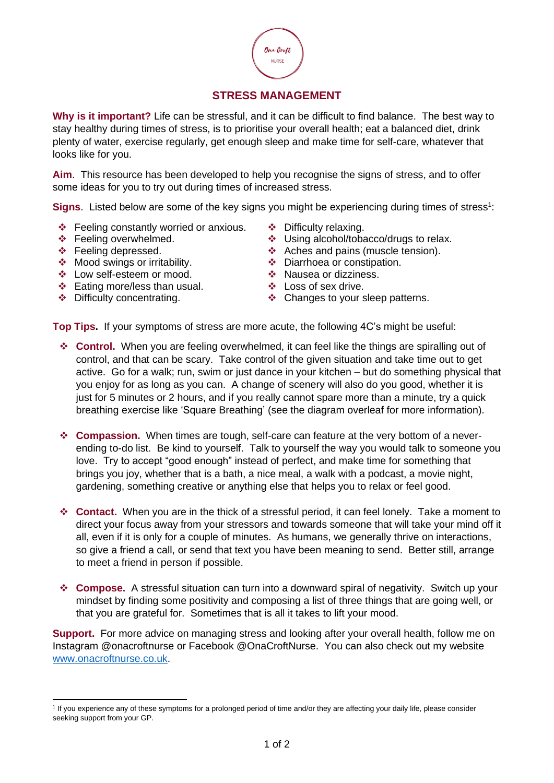

## **STRESS MANAGEMENT**

**Why is it important?** Life can be stressful, and it can be difficult to find balance. The best way to stay healthy during times of stress, is to prioritise your overall health; eat a balanced diet, drink plenty of water, exercise regularly, get enough sleep and make time for self-care, whatever that looks like for you.

**Aim**. This resource has been developed to help you recognise the signs of stress, and to offer some ideas for you to try out during times of increased stress.

Signs. Listed below are some of the key signs you might be experiencing during times of stress<sup>1</sup>:

- ❖ Feeling constantly worried or anxious. ❖ Difficulty relaxing.
- 
- 
- ❖ Mood swings or irritability. ❖ Diarrhoea or constipation.
- ❖ Low self-esteem or mood. ❖ Nausea or dizziness.
- ❖ Eating more/less than usual. ❖ Loss of sex drive.
- 
- 
- ❖ Feeling overwhelmed. ❖ Using alcohol/tobacco/drugs to relax.
- ❖ Feeling depressed. ❖ Aches and pains (muscle tension).
	-
	-
	-
- ❖ Difficulty concentrating. ❖ Changes to your sleep patterns.

**Top Tips.** If your symptoms of stress are more acute, the following 4C's might be useful:

- ❖ **Control.** When you are feeling overwhelmed, it can feel like the things are spiralling out of control, and that can be scary. Take control of the given situation and take time out to get active. Go for a walk; run, swim or just dance in your kitchen – but do something physical that you enjoy for as long as you can. A change of scenery will also do you good, whether it is just for 5 minutes or 2 hours, and if you really cannot spare more than a minute, try a quick breathing exercise like 'Square Breathing' (see the diagram overleaf for more information).
- ❖ **Compassion.** When times are tough, self-care can feature at the very bottom of a neverending to-do list. Be kind to yourself. Talk to yourself the way you would talk to someone you love. Try to accept "good enough" instead of perfect, and make time for something that brings you joy, whether that is a bath, a nice meal, a walk with a podcast, a movie night, gardening, something creative or anything else that helps you to relax or feel good.
- ❖ **Contact.** When you are in the thick of a stressful period, it can feel lonely. Take a moment to direct your focus away from your stressors and towards someone that will take your mind off it all, even if it is only for a couple of minutes. As humans, we generally thrive on interactions, so give a friend a call, or send that text you have been meaning to send. Better still, arrange to meet a friend in person if possible.
- ❖ **Compose.** A stressful situation can turn into a downward spiral of negativity. Switch up your mindset by finding some positivity and composing a list of three things that are going well, or that you are grateful for. Sometimes that is all it takes to lift your mood.

**Support.** For more advice on managing stress and looking after your overall health, follow me on Instagram @onacroftnurse or Facebook @OnaCroftNurse. You can also check out my website [www.onacroftnurse.co.uk.](http://www.onacroftnurse.co.uk/)

<sup>&</sup>lt;sup>1</sup> If you experience any of these symptoms for a prolonged period of time and/or they are affecting your daily life, please consider seeking support from your GP.